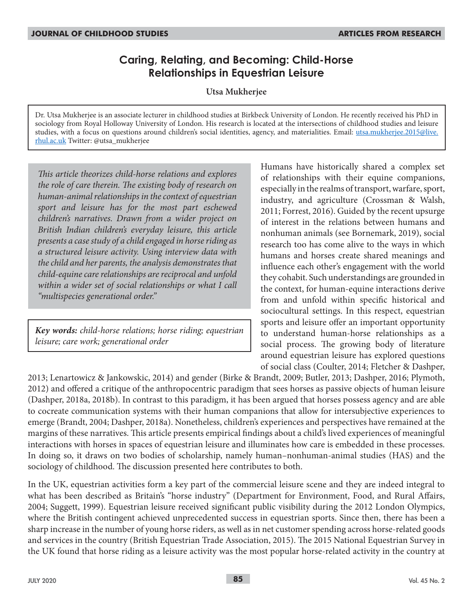# **Caring, Relating, and Becoming: Child-Horse Relationships in Equestrian Leisure**

**Utsa Mukherjee**

Dr. Utsa Mukherjee is an associate lecturer in childhood studies at Birkbeck University of London. He recently received his PhD in sociology from Royal Holloway University of London. His research is located at the intersections of childhood studies and leisure studies, with a focus on questions around children's social identities, agency, and materialities. Email: utsa.mukherjee.2015@live. rhul.ac.uk Twitter: @utsa\_mukherjee

*This article theorizes child-horse relations and explores the role of care therein. The existing body of research on human-animal relationships in the context of equestrian sport and leisure has for the most part eschewed children's narratives. Drawn from a wider project on British Indian children's everyday leisure, this article presents a case study of a child engaged in horse riding as a structured leisure activity. Using interview data with the child and her parents, the analysis demonstrates that child-equine care relationships are reciprocal and unfold within a wider set of social relationships or what I call "multispecies generational order."*

*Key words: child-horse relations; horse riding; equestrian leisure; care work; generational order*

Humans have historically shared a complex set of relationships with their equine companions, especially in the realms of transport, warfare, sport, industry, and agriculture (Crossman & Walsh, 2011; Forrest, 2016). Guided by the recent upsurge of interest in the relations between humans and nonhuman animals (see Bornemark, 2019), social research too has come alive to the ways in which humans and horses create shared meanings and influence each other's engagement with the world they cohabit. Such understandings are grounded in the context, for human-equine interactions derive from and unfold within specific historical and sociocultural settings. In this respect, equestrian sports and leisure offer an important opportunity to understand human-horse relationships as a social process. The growing body of literature around equestrian leisure has explored questions of social class (Coulter, 2014; Fletcher & Dashper,

2013; Lenartowicz & Jankowskic, 2014) and gender (Birke & Brandt, 2009; Butler, 2013; Dashper, 2016; Plymoth, 2012) and offered a critique of the anthropocentric paradigm that sees horses as passive objects of human leisure (Dashper, 2018a, 2018b). In contrast to this paradigm, it has been argued that horses possess agency and are able to cocreate communication systems with their human companions that allow for intersubjective experiences to emerge (Brandt, 2004; Dashper, 2018a). Nonetheless, children's experiences and perspectives have remained at the margins of these narratives. This article presents empirical findings about a child's lived experiences of meaningful interactions with horses in spaces of equestrian leisure and illuminates how care is embedded in these processes. In doing so, it draws on two bodies of scholarship, namely human–nonhuman-animal studies (HAS) and the sociology of childhood. The discussion presented here contributes to both.

In the UK, equestrian activities form a key part of the commercial leisure scene and they are indeed integral to what has been described as Britain's "horse industry" (Department for Environment, Food, and Rural Affairs, 2004; Suggett, 1999). Equestrian leisure received significant public visibility during the 2012 London Olympics, where the British contingent achieved unprecedented success in equestrian sports. Since then, there has been a sharp increase in the number of young horse riders, as well as in net customer spending across horse-related goods and services in the country (British Equestrian Trade Association, 2015). The 2015 National Equestrian Survey in the UK found that horse riding as a leisure activity was the most popular horse-related activity in the country at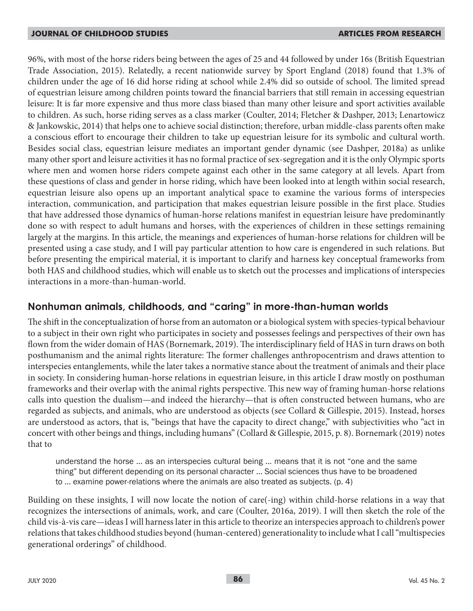96%, with most of the horse riders being between the ages of 25 and 44 followed by under 16s (British Equestrian Trade Association, 2015). Relatedly, a recent nationwide survey by Sport England (2018) found that 1.3% of children under the age of 16 did horse riding at school while 2.4% did so outside of school. The limited spread of equestrian leisure among children points toward the financial barriers that still remain in accessing equestrian leisure: It is far more expensive and thus more class biased than many other leisure and sport activities available to children. As such, horse riding serves as a class marker (Coulter, 2014; Fletcher & Dashper, 2013; Lenartowicz & Jankowskic, 2014) that helps one to achieve social distinction; therefore, urban middle-class parents often make a conscious effort to encourage their children to take up equestrian leisure for its symbolic and cultural worth. Besides social class, equestrian leisure mediates an important gender dynamic (see Dashper, 2018a) as unlike many other sport and leisure activities it has no formal practice of sex-segregation and it is the only Olympic sports where men and women horse riders compete against each other in the same category at all levels. Apart from these questions of class and gender in horse riding, which have been looked into at length within social research, equestrian leisure also opens up an important analytical space to examine the various forms of interspecies interaction, communication, and participation that makes equestrian leisure possible in the first place. Studies that have addressed those dynamics of human-horse relations manifest in equestrian leisure have predominantly done so with respect to adult humans and horses, with the experiences of children in these settings remaining largely at the margins. In this article, the meanings and experiences of human-horse relations for children will be presented using a case study, and I will pay particular attention to how care is engendered in such relations. But before presenting the empirical material, it is important to clarify and harness key conceptual frameworks from both HAS and childhood studies, which will enable us to sketch out the processes and implications of interspecies interactions in a more-than-human-world.

# **Nonhuman animals, childhoods, and "caring" in more-than-human worlds**

The shift in the conceptualization of horse from an automaton or a biological system with species-typical behaviour to a subject in their own right who participates in society and possesses feelings and perspectives of their own has flown from the wider domain of HAS (Bornemark, 2019). The interdisciplinary field of HAS in turn draws on both posthumanism and the animal rights literature: The former challenges anthropocentrism and draws attention to interspecies entanglements, while the later takes a normative stance about the treatment of animals and their place in society. In considering human-horse relations in equestrian leisure, in this article I draw mostly on posthuman frameworks and their overlap with the animal rights perspective. This new way of framing human-horse relations calls into question the dualism—and indeed the hierarchy—that is often constructed between humans, who are regarded as subjects, and animals, who are understood as objects (see Collard & Gillespie, 2015). Instead, horses are understood as actors, that is, "beings that have the capacity to direct change," with subjectivities who "act in concert with other beings and things, including humans" (Collard & Gillespie, 2015, p. 8). Bornemark (2019) notes that to

understand the horse … as an interspecies cultural being … means that it is not "one and the same thing" but different depending on its personal character … Social sciences thus have to be broadened to … examine power-relations where the animals are also treated as subjects. (p. 4)

Building on these insights, I will now locate the notion of care(-ing) within child-horse relations in a way that recognizes the intersections of animals, work, and care (Coulter, 2016a, 2019). I will then sketch the role of the child vis-à-vis care—ideas I will harness later in this article to theorize an interspecies approach to children's power relations that takes childhood studies beyond (human-centered) generationality to include what I call "multispecies generational orderings" of childhood.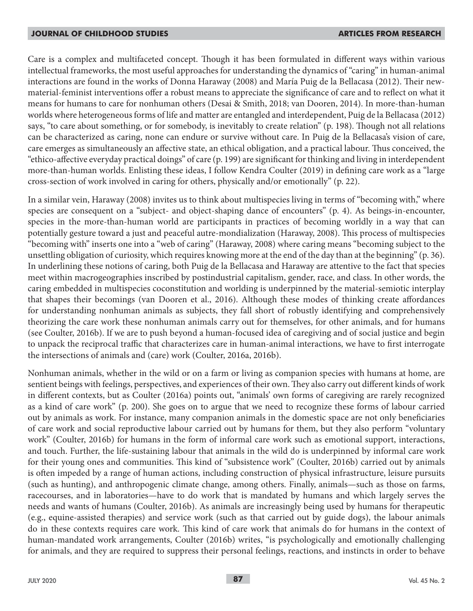Care is a complex and multifaceted concept. Though it has been formulated in different ways within various intellectual frameworks, the most useful approaches for understanding the dynamics of "caring" in human-animal interactions are found in the works of Donna Haraway (2008) and María Puig de la Bellacasa (2012). Their newmaterial-feminist interventions offer a robust means to appreciate the significance of care and to reflect on what it means for humans to care for nonhuman others (Desai & Smith, 2018; van Dooren, 2014). In more-than-human worlds where heterogeneous forms of life and matter are entangled and interdependent, Puig de la Bellacasa (2012) says, "to care about something, or for somebody, is inevitably to create relation" (p. 198). Though not all relations can be characterized as caring, none can endure or survive without care. In Puig de la Bellacasa's vision of care, care emerges as simultaneously an affective state, an ethical obligation, and a practical labour. Thus conceived, the "ethico-affective everyday practical doings" of care (p. 199) are significant for thinking and living in interdependent more-than-human worlds. Enlisting these ideas, I follow Kendra Coulter (2019) in defining care work as a "large cross-section of work involved in caring for others, physically and/or emotionally" (p. 22).

In a similar vein, Haraway (2008) invites us to think about multispecies living in terms of "becoming with," where species are consequent on a "subject- and object-shaping dance of encounters" (p. 4). As beings-in-encounter, species in the more-than-human world are participants in practices of becoming worldly in a way that can potentially gesture toward a just and peaceful autre-mondialization (Haraway, 2008). This process of multispecies "becoming with" inserts one into a "web of caring" (Haraway, 2008) where caring means "becoming subject to the unsettling obligation of curiosity, which requires knowing more at the end of the day than at the beginning" (p. 36). In underlining these notions of caring, both Puig de la Bellacasa and Haraway are attentive to the fact that species meet within macrogeographies inscribed by postindustrial capitalism, gender, race, and class. In other words, the caring embedded in multispecies coconstitution and worlding is underpinned by the material-semiotic interplay that shapes their becomings (van Dooren et al., 2016). Although these modes of thinking create affordances for understanding nonhuman animals as subjects, they fall short of robustly identifying and comprehensively theorizing the care work these nonhuman animals carry out for themselves, for other animals, and for humans (see Coulter, 2016b). If we are to push beyond a human-focused idea of caregiving and of social justice and begin to unpack the reciprocal traffic that characterizes care in human-animal interactions, we have to first interrogate the intersections of animals and (care) work (Coulter, 2016a, 2016b).

Nonhuman animals, whether in the wild or on a farm or living as companion species with humans at home, are sentient beings with feelings, perspectives, and experiences of their own. They also carry out different kinds of work in different contexts, but as Coulter (2016a) points out, "animals' own forms of caregiving are rarely recognized as a kind of care work" (p. 200). She goes on to argue that we need to recognize these forms of labour carried out by animals as work. For instance, many companion animals in the domestic space are not only beneficiaries of care work and social reproductive labour carried out by humans for them, but they also perform "voluntary work" (Coulter, 2016b) for humans in the form of informal care work such as emotional support, interactions, and touch. Further, the life-sustaining labour that animals in the wild do is underpinned by informal care work for their young ones and communities. This kind of "subsistence work" (Coulter, 2016b) carried out by animals is often impeded by a range of human actions, including construction of physical infrastructure, leisure pursuits (such as hunting), and anthropogenic climate change, among others. Finally, animals—such as those on farms, racecourses, and in laboratories—have to do work that is mandated by humans and which largely serves the needs and wants of humans (Coulter, 2016b). As animals are increasingly being used by humans for therapeutic (e.g., equine-assisted therapies) and service work (such as that carried out by guide dogs), the labour animals do in these contexts requires care work. This kind of care work that animals do for humans in the context of human-mandated work arrangements, Coulter (2016b) writes, "is psychologically and emotionally challenging for animals, and they are required to suppress their personal feelings, reactions, and instincts in order to behave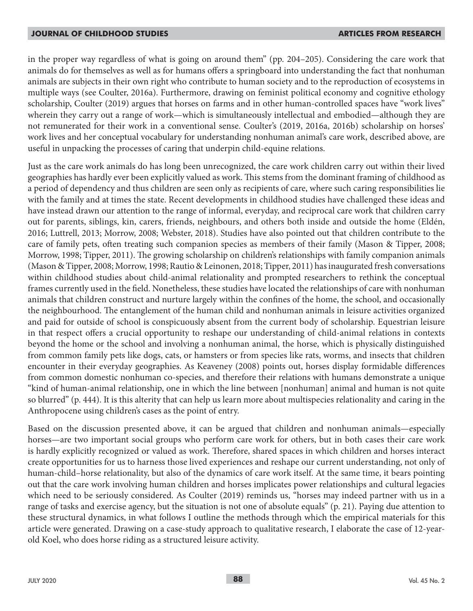in the proper way regardless of what is going on around them" (pp. 204–205). Considering the care work that animals do for themselves as well as for humans offers a springboard into understanding the fact that nonhuman animals are subjects in their own right who contribute to human society and to the reproduction of ecosystems in multiple ways (see Coulter, 2016a). Furthermore, drawing on feminist political economy and cognitive ethology scholarship, Coulter (2019) argues that horses on farms and in other human-controlled spaces have "work lives" wherein they carry out a range of work—which is simultaneously intellectual and embodied—although they are not remunerated for their work in a conventional sense. Coulter's (2019, 2016a, 2016b) scholarship on horses' work lives and her conceptual vocabulary for understanding nonhuman animal's care work, described above, are useful in unpacking the processes of caring that underpin child-equine relations.

Just as the care work animals do has long been unrecognized, the care work children carry out within their lived geographies has hardly ever been explicitly valued as work. This stems from the dominant framing of childhood as a period of dependency and thus children are seen only as recipients of care, where such caring responsibilities lie with the family and at times the state. Recent developments in childhood studies have challenged these ideas and have instead drawn our attention to the range of informal, everyday, and reciprocal care work that children carry out for parents, siblings, kin, carers, friends, neighbours, and others both inside and outside the home (Eldén, 2016; Luttrell, 2013; Morrow, 2008; Webster, 2018). Studies have also pointed out that children contribute to the care of family pets, often treating such companion species as members of their family (Mason & Tipper, 2008; Morrow, 1998; Tipper, 2011). The growing scholarship on children's relationships with family companion animals (Mason & Tipper, 2008; Morrow, 1998; Rautio & Leinonen, 2018; Tipper, 2011) has inaugurated fresh conversations within childhood studies about child-animal relationality and prompted researchers to rethink the conceptual frames currently used in the field. Nonetheless, these studies have located the relationships of care with nonhuman animals that children construct and nurture largely within the confines of the home, the school, and occasionally the neighbourhood. The entanglement of the human child and nonhuman animals in leisure activities organized and paid for outside of school is conspicuously absent from the current body of scholarship. Equestrian leisure in that respect offers a crucial opportunity to reshape our understanding of child-animal relations in contexts beyond the home or the school and involving a nonhuman animal, the horse, which is physically distinguished from common family pets like dogs, cats, or hamsters or from species like rats, worms, and insects that children encounter in their everyday geographies. As Keaveney (2008) points out, horses display formidable differences from common domestic nonhuman co-species, and therefore their relations with humans demonstrate a unique "kind of human-animal relationship, one in which the line between [nonhuman] animal and human is not quite so blurred" (p. 444). It is this alterity that can help us learn more about multispecies relationality and caring in the Anthropocene using children's cases as the point of entry.

Based on the discussion presented above, it can be argued that children and nonhuman animals—especially horses—are two important social groups who perform care work for others, but in both cases their care work is hardly explicitly recognized or valued as work. Therefore, shared spaces in which children and horses interact create opportunities for us to harness those lived experiences and reshape our current understanding, not only of human-child–horse relationality, but also of the dynamics of care work itself. At the same time, it bears pointing out that the care work involving human children and horses implicates power relationships and cultural legacies which need to be seriously considered. As Coulter (2019) reminds us, "horses may indeed partner with us in a range of tasks and exercise agency, but the situation is not one of absolute equals" (p. 21). Paying due attention to these structural dynamics, in what follows I outline the methods through which the empirical materials for this article were generated. Drawing on a case-study approach to qualitative research, I elaborate the case of 12-yearold Koel, who does horse riding as a structured leisure activity.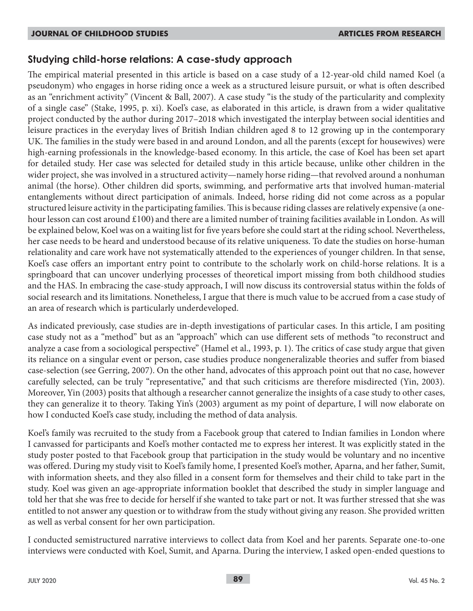# **Studying child-horse relations: A case-study approach**

The empirical material presented in this article is based on a case study of a 12-year-old child named Koel (a pseudonym) who engages in horse riding once a week as a structured leisure pursuit, or what is often described as an "enrichment activity" (Vincent & Ball, 2007). A case study "is the study of the particularity and complexity of a single case" (Stake, 1995, p. xi). Koel's case, as elaborated in this article, is drawn from a wider qualitative project conducted by the author during 2017–2018 which investigated the interplay between social identities and leisure practices in the everyday lives of British Indian children aged 8 to 12 growing up in the contemporary UK. The families in the study were based in and around London, and all the parents (except for housewives) were high-earning professionals in the knowledge-based economy. In this article, the case of Koel has been set apart for detailed study. Her case was selected for detailed study in this article because, unlike other children in the wider project, she was involved in a structured activity—namely horse riding—that revolved around a nonhuman animal (the horse). Other children did sports, swimming, and performative arts that involved human-material entanglements without direct participation of animals. Indeed, horse riding did not come across as a popular structured leisure activity in the participating families. This is because riding classes are relatively expensive (a onehour lesson can cost around £100) and there are a limited number of training facilities available in London. As will be explained below, Koel was on a waiting list for five years before she could start at the riding school. Nevertheless, her case needs to be heard and understood because of its relative uniqueness. To date the studies on horse-human relationality and care work have not systematically attended to the experiences of younger children. In that sense, Koel's case offers an important entry point to contribute to the scholarly work on child-horse relations. It is a springboard that can uncover underlying processes of theoretical import missing from both childhood studies and the HAS. In embracing the case-study approach, I will now discuss its controversial status within the folds of social research and its limitations. Nonetheless, I argue that there is much value to be accrued from a case study of an area of research which is particularly underdeveloped.

As indicated previously, case studies are in-depth investigations of particular cases. In this article, I am positing case study not as a "method" but as an "approach" which can use different sets of methods "to reconstruct and analyze a case from a sociological perspective" (Hamel et al., 1993, p. 1). The critics of case study argue that given its reliance on a singular event or person, case studies produce nongeneralizable theories and suffer from biased case-selection (see Gerring, 2007). On the other hand, advocates of this approach point out that no case, however carefully selected, can be truly "representative," and that such criticisms are therefore misdirected (Yin, 2003). Moreover, Yin (2003) posits that although a researcher cannot generalize the insights of a case study to other cases, they can generalize it to theory. Taking Yin's (2003) argument as my point of departure, I will now elaborate on how I conducted Koel's case study, including the method of data analysis.

Koel's family was recruited to the study from a Facebook group that catered to Indian families in London where I canvassed for participants and Koel's mother contacted me to express her interest. It was explicitly stated in the study poster posted to that Facebook group that participation in the study would be voluntary and no incentive was offered. During my study visit to Koel's family home, I presented Koel's mother, Aparna, and her father, Sumit, with information sheets, and they also filled in a consent form for themselves and their child to take part in the study. Koel was given an age-appropriate information booklet that described the study in simpler language and told her that she was free to decide for herself if she wanted to take part or not. It was further stressed that she was entitled to not answer any question or to withdraw from the study without giving any reason. She provided written as well as verbal consent for her own participation.

I conducted semistructured narrative interviews to collect data from Koel and her parents. Separate one-to-one interviews were conducted with Koel, Sumit, and Aparna. During the interview, I asked open-ended questions to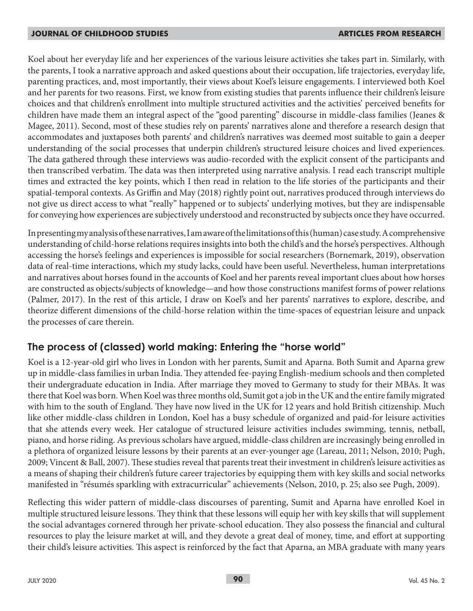Koel about her everyday life and her experiences of the various leisure activities she takes part in. Similarly, with the parents, I took a narrative approach and asked questions about their occupation, life trajectories, everyday life, parenting practices, and, most importantly, their views about Koel's leisure engagements. I interviewed both Koel and her parents for two reasons. First, we know from existing studies that parents influence their children's leisure choices and that children's enrollment into multiple structured activities and the activities' perceived benefits for children have made them an integral aspect of the "good parenting" discourse in middle-class families (Jeanes & Magee, 2011). Second, most of these studies rely on parents' narratives alone and therefore a research design that accommodates and juxtaposes both parents' and children's narratives was deemed most suitable to gain a deeper understanding of the social processes that underpin children's structured leisure choices and lived experiences. The data gathered through these interviews was audio-recorded with the explicit consent of the participants and then transcribed verbatim. The data was then interpreted using narrative analysis. I read each transcript multiple times and extracted the key points, which I then read in relation to the life stories of the participants and their spatial-temporal contexts. As Griffin and May (2018) rightly point out, narratives produced through interviews do not give us direct access to what "really" happened or to subjects' underlying motives, but they are indispensable for conveying how experiences are subjectively understood and reconstructed by subjects once they have occurred.

In presenting my analysis of these narratives, I am aware of the limitations of this (human) case study. A comprehensive understanding of child-horse relations requires insights into both the child's and the horse's perspectives. Although accessing the horse's feelings and experiences is impossible for social researchers (Bornemark, 2019), observation data of real-time interactions, which my study lacks, could have been useful. Nevertheless, human interpretations and narratives about horses found in the accounts of Koel and her parents reveal important clues about how horses are constructed as objects/subjects of knowledge—and how those constructions manifest forms of power relations (Palmer, 2017). In the rest of this article, I draw on Koel's and her parents' narratives to explore, describe, and theorize different dimensions of the child-horse relation within the time-spaces of equestrian leisure and unpack the processes of care therein.

# **The process of (classed) world making: Entering the "horse world"**

Koel is a 12-year-old girl who lives in London with her parents, Sumit and Aparna. Both Sumit and Aparna grew up in middle-class families in urban India. They attended fee-paying English-medium schools and then completed their undergraduate education in India. After marriage they moved to Germany to study for their MBAs. It was there that Koel was born. When Koel was three months old, Sumit got a job in the UK and the entire family migrated with him to the south of England. They have now lived in the UK for 12 years and hold British citizenship. Much like other middle-class children in London, Koel has a busy schedule of organized and paid-for leisure activities that she attends every week. Her catalogue of structured leisure activities includes swimming, tennis, netball, piano, and horse riding. As previous scholars have argued, middle-class children are increasingly being enrolled in a plethora of organized leisure lessons by their parents at an ever-younger age (Lareau, 2011; Nelson, 2010; Pugh, 2009; Vincent & Ball, 2007). These studies reveal that parents treat their investment in children's leisure activities as a means of shaping their children's future career trajectories by equipping them with key skills and social networks manifested in "résumés sparkling with extracurricular" achievements (Nelson, 2010, p. 25; also see Pugh, 2009).

Reflecting this wider pattern of middle-class discourses of parenting, Sumit and Aparna have enrolled Koel in multiple structured leisure lessons. They think that these lessons will equip her with key skills that will supplement the social advantages cornered through her private-school education. They also possess the financial and cultural resources to play the leisure market at will, and they devote a great deal of money, time, and effort at supporting their child's leisure activities. This aspect is reinforced by the fact that Aparna, an MBA graduate with many years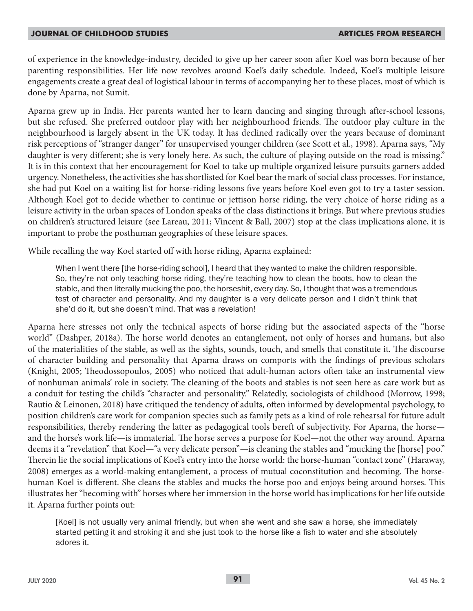of experience in the knowledge-industry, decided to give up her career soon after Koel was born because of her parenting responsibilities. Her life now revolves around Koel's daily schedule. Indeed, Koel's multiple leisure engagements create a great deal of logistical labour in terms of accompanying her to these places, most of which is done by Aparna, not Sumit.

Aparna grew up in India. Her parents wanted her to learn dancing and singing through after-school lessons, but she refused. She preferred outdoor play with her neighbourhood friends. The outdoor play culture in the neighbourhood is largely absent in the UK today. It has declined radically over the years because of dominant risk perceptions of "stranger danger" for unsupervised younger children (see Scott et al., 1998). Aparna says, "My daughter is very different; she is very lonely here. As such, the culture of playing outside on the road is missing." It is in this context that her encouragement for Koel to take up multiple organized leisure pursuits garners added urgency. Nonetheless, the activities she has shortlisted for Koel bear the mark of social class processes. For instance, she had put Koel on a waiting list for horse-riding lessons five years before Koel even got to try a taster session. Although Koel got to decide whether to continue or jettison horse riding, the very choice of horse riding as a leisure activity in the urban spaces of London speaks of the class distinctions it brings. But where previous studies on children's structured leisure (see Lareau, 2011; Vincent & Ball, 2007) stop at the class implications alone, it is important to probe the posthuman geographies of these leisure spaces.

While recalling the way Koel started off with horse riding, Aparna explained:

When I went there [the horse-riding school], I heard that they wanted to make the children responsible. So, they're not only teaching horse riding, they're teaching how to clean the boots, how to clean the stable, and then literally mucking the poo, the horseshit, every day. So, I thought that was a tremendous test of character and personality. And my daughter is a very delicate person and I didn't think that she'd do it, but she doesn't mind. That was a revelation!

Aparna here stresses not only the technical aspects of horse riding but the associated aspects of the "horse world" (Dashper, 2018a). The horse world denotes an entanglement, not only of horses and humans, but also of the materialities of the stable, as well as the sights, sounds, touch, and smells that constitute it. The discourse of character building and personality that Aparna draws on comports with the findings of previous scholars (Knight, 2005; Theodossopoulos, 2005) who noticed that adult-human actors often take an instrumental view of nonhuman animals' role in society. The cleaning of the boots and stables is not seen here as care work but as a conduit for testing the child's "character and personality." Relatedly, sociologists of childhood (Morrow, 1998; Rautio & Leinonen, 2018) have critiqued the tendency of adults, often informed by developmental psychology, to position children's care work for companion species such as family pets as a kind of role rehearsal for future adult responsibilities, thereby rendering the latter as pedagogical tools bereft of subjectivity. For Aparna, the horse and the horse's work life—is immaterial. The horse serves a purpose for Koel—not the other way around. Aparna deems it a "revelation" that Koel—"a very delicate person"—is cleaning the stables and "mucking the [horse] poo." Therein lie the social implications of Koel's entry into the horse world: the horse-human "contact zone" (Haraway, 2008) emerges as a world-making entanglement, a process of mutual coconstitution and becoming. The horsehuman Koel is different. She cleans the stables and mucks the horse poo and enjoys being around horses. This illustrates her "becoming with" horses where her immersion in the horse world has implications for her life outside it. Aparna further points out:

[Koel] is not usually very animal friendly, but when she went and she saw a horse, she immediately started petting it and stroking it and she just took to the horse like a fish to water and she absolutely adores it.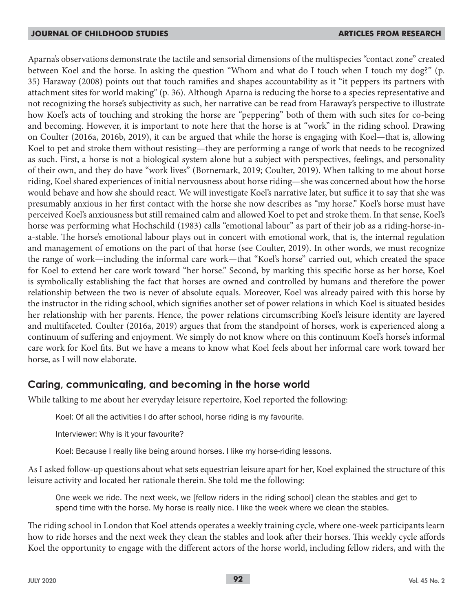Aparna's observations demonstrate the tactile and sensorial dimensions of the multispecies "contact zone" created between Koel and the horse. In asking the question "Whom and what do I touch when I touch my dog?" (p. 35) Haraway (2008) points out that touch ramifies and shapes accountability as it "it peppers its partners with attachment sites for world making" (p. 36). Although Aparna is reducing the horse to a species representative and not recognizing the horse's subjectivity as such, her narrative can be read from Haraway's perspective to illustrate how Koel's acts of touching and stroking the horse are "peppering" both of them with such sites for co-being and becoming. However, it is important to note here that the horse is at "work" in the riding school. Drawing on Coulter (2016a, 2016b, 2019), it can be argued that while the horse is engaging with Koel—that is, allowing Koel to pet and stroke them without resisting—they are performing a range of work that needs to be recognized as such. First, a horse is not a biological system alone but a subject with perspectives, feelings, and personality of their own, and they do have "work lives" (Bornemark, 2019; Coulter, 2019). When talking to me about horse riding, Koel shared experiences of initial nervousness about horse riding—she was concerned about how the horse would behave and how she should react. We will investigate Koel's narrative later, but suffice it to say that she was presumably anxious in her first contact with the horse she now describes as "my horse." Koel's horse must have perceived Koel's anxiousness but still remained calm and allowed Koel to pet and stroke them. In that sense, Koel's horse was performing what Hochschild (1983) calls "emotional labour" as part of their job as a riding-horse-ina-stable. The horse's emotional labour plays out in concert with emotional work, that is, the internal regulation and management of emotions on the part of that horse (see Coulter, 2019). In other words, we must recognize the range of work—including the informal care work—that "Koel's horse" carried out, which created the space for Koel to extend her care work toward "her horse." Second, by marking this specific horse as her horse, Koel is symbolically establishing the fact that horses are owned and controlled by humans and therefore the power relationship between the two is never of absolute equals. Moreover, Koel was already paired with this horse by the instructor in the riding school, which signifies another set of power relations in which Koel is situated besides her relationship with her parents. Hence, the power relations circumscribing Koel's leisure identity are layered and multifaceted. Coulter (2016a, 2019) argues that from the standpoint of horses, work is experienced along a continuum of suffering and enjoyment. We simply do not know where on this continuum Koel's horse's informal care work for Koel fits. But we have a means to know what Koel feels about her informal care work toward her horse, as I will now elaborate.

# **Caring, communicating, and becoming in the horse world**

While talking to me about her everyday leisure repertoire, Koel reported the following:

Koel: Of all the activities I do after school, horse riding is my favourite.

Interviewer: Why is it your favourite?

Koel: Because I really like being around horses. I like my horse-riding lessons.

As I asked follow-up questions about what sets equestrian leisure apart for her, Koel explained the structure of this leisure activity and located her rationale therein. She told me the following:

One week we ride. The next week, we [fellow riders in the riding school] clean the stables and get to spend time with the horse. My horse is really nice. I like the week where we clean the stables.

The riding school in London that Koel attends operates a weekly training cycle, where one-week participants learn how to ride horses and the next week they clean the stables and look after their horses. This weekly cycle affords Koel the opportunity to engage with the different actors of the horse world, including fellow riders, and with the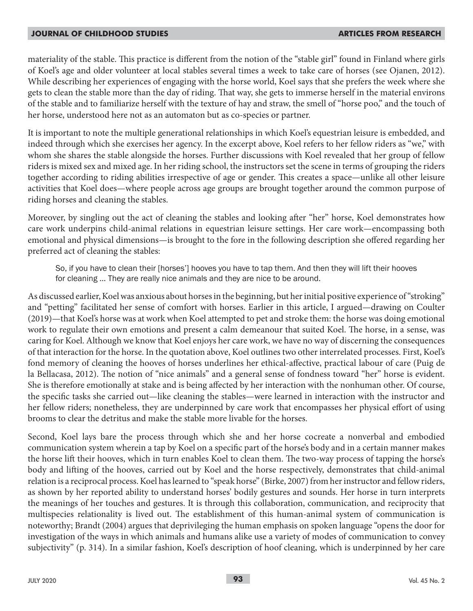materiality of the stable. This practice is different from the notion of the "stable girl" found in Finland where girls of Koel's age and older volunteer at local stables several times a week to take care of horses (see Ojanen, 2012). While describing her experiences of engaging with the horse world, Koel says that she prefers the week where she gets to clean the stable more than the day of riding. That way, she gets to immerse herself in the material environs of the stable and to familiarize herself with the texture of hay and straw, the smell of "horse poo," and the touch of her horse, understood here not as an automaton but as co-species or partner.

It is important to note the multiple generational relationships in which Koel's equestrian leisure is embedded, and indeed through which she exercises her agency. In the excerpt above, Koel refers to her fellow riders as "we," with whom she shares the stable alongside the horses. Further discussions with Koel revealed that her group of fellow riders is mixed sex and mixed age. In her riding school, the instructors set the scene in terms of grouping the riders together according to riding abilities irrespective of age or gender. This creates a space—unlike all other leisure activities that Koel does—where people across age groups are brought together around the common purpose of riding horses and cleaning the stables.

Moreover, by singling out the act of cleaning the stables and looking after "her" horse, Koel demonstrates how care work underpins child-animal relations in equestrian leisure settings. Her care work—encompassing both emotional and physical dimensions—is brought to the fore in the following description she offered regarding her preferred act of cleaning the stables:

So, if you have to clean their [horses'] hooves you have to tap them. And then they will lift their hooves for cleaning … They are really nice animals and they are nice to be around.

As discussed earlier, Koel was anxious about horses in the beginning, but her initial positive experience of "stroking" and "petting" facilitated her sense of comfort with horses. Earlier in this article, I argued—drawing on Coulter (2019)—that Koel's horse was at work when Koel attempted to pet and stroke them: the horse was doing emotional work to regulate their own emotions and present a calm demeanour that suited Koel. The horse, in a sense, was caring for Koel. Although we know that Koel enjoys her care work, we have no way of discerning the consequences of that interaction for the horse. In the quotation above, Koel outlines two other interrelated processes. First, Koel's fond memory of cleaning the hooves of horses underlines her ethical-affective, practical labour of care (Puig de la Bellacasa, 2012). The notion of "nice animals" and a general sense of fondness toward "her" horse is evident. She is therefore emotionally at stake and is being affected by her interaction with the nonhuman other. Of course, the specific tasks she carried out—like cleaning the stables—were learned in interaction with the instructor and her fellow riders; nonetheless, they are underpinned by care work that encompasses her physical effort of using brooms to clear the detritus and make the stable more livable for the horses.

Second, Koel lays bare the process through which she and her horse cocreate a nonverbal and embodied communication system wherein a tap by Koel on a specific part of the horse's body and in a certain manner makes the horse lift their hooves, which in turn enables Koel to clean them. The two-way process of tapping the horse's body and lifting of the hooves, carried out by Koel and the horse respectively, demonstrates that child-animal relation is a reciprocal process. Koel has learned to "speak horse" (Birke, 2007) from her instructor and fellow riders, as shown by her reported ability to understand horses' bodily gestures and sounds. Her horse in turn interprets the meanings of her touches and gestures. It is through this collaboration, communication, and reciprocity that multispecies relationality is lived out. The establishment of this human-animal system of communication is noteworthy; Brandt (2004) argues that deprivileging the human emphasis on spoken language "opens the door for investigation of the ways in which animals and humans alike use a variety of modes of communication to convey subjectivity" (p. 314). In a similar fashion, Koel's description of hoof cleaning, which is underpinned by her care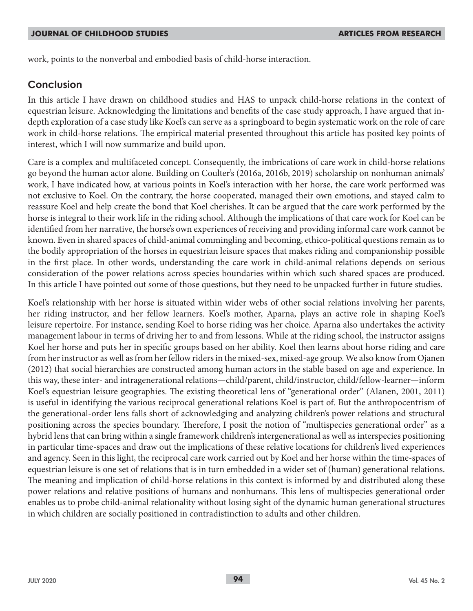work, points to the nonverbal and embodied basis of child-horse interaction.

# **Conclusion**

In this article I have drawn on childhood studies and HAS to unpack child-horse relations in the context of equestrian leisure. Acknowledging the limitations and benefits of the case study approach, I have argued that indepth exploration of a case study like Koel's can serve as a springboard to begin systematic work on the role of care work in child-horse relations. The empirical material presented throughout this article has posited key points of interest, which I will now summarize and build upon.

Care is a complex and multifaceted concept. Consequently, the imbrications of care work in child-horse relations go beyond the human actor alone. Building on Coulter's (2016a, 2016b, 2019) scholarship on nonhuman animals' work, I have indicated how, at various points in Koel's interaction with her horse, the care work performed was not exclusive to Koel. On the contrary, the horse cooperated, managed their own emotions, and stayed calm to reassure Koel and help create the bond that Koel cherishes. It can be argued that the care work performed by the horse is integral to their work life in the riding school. Although the implications of that care work for Koel can be identified from her narrative, the horse's own experiences of receiving and providing informal care work cannot be known. Even in shared spaces of child-animal commingling and becoming, ethico-political questions remain as to the bodily appropriation of the horses in equestrian leisure spaces that makes riding and companionship possible in the first place. In other words, understanding the care work in child-animal relations depends on serious consideration of the power relations across species boundaries within which such shared spaces are produced. In this article I have pointed out some of those questions, but they need to be unpacked further in future studies.

Koel's relationship with her horse is situated within wider webs of other social relations involving her parents, her riding instructor, and her fellow learners. Koel's mother, Aparna, plays an active role in shaping Koel's leisure repertoire. For instance, sending Koel to horse riding was her choice. Aparna also undertakes the activity management labour in terms of driving her to and from lessons. While at the riding school, the instructor assigns Koel her horse and puts her in specific groups based on her ability. Koel then learns about horse riding and care from her instructor as well as from her fellow riders in the mixed-sex, mixed-age group. We also know from Ojanen (2012) that social hierarchies are constructed among human actors in the stable based on age and experience. In this way, these inter- and intragenerational relations—child/parent, child/instructor, child/fellow-learner—inform Koel's equestrian leisure geographies. The existing theoretical lens of "generational order" (Alanen, 2001, 2011) is useful in identifying the various reciprocal generational relations Koel is part of. But the anthropocentrism of the generational-order lens falls short of acknowledging and analyzing children's power relations and structural positioning across the species boundary. Therefore, I posit the notion of "multispecies generational order" as a hybrid lens that can bring within a single framework children's intergenerational as well as interspecies positioning in particular time-spaces and draw out the implications of these relative locations for children's lived experiences and agency. Seen in this light, the reciprocal care work carried out by Koel and her horse within the time-spaces of equestrian leisure is one set of relations that is in turn embedded in a wider set of (human) generational relations. The meaning and implication of child-horse relations in this context is informed by and distributed along these power relations and relative positions of humans and nonhumans. This lens of multispecies generational order enables us to probe child-animal relationality without losing sight of the dynamic human generational structures in which children are socially positioned in contradistinction to adults and other children.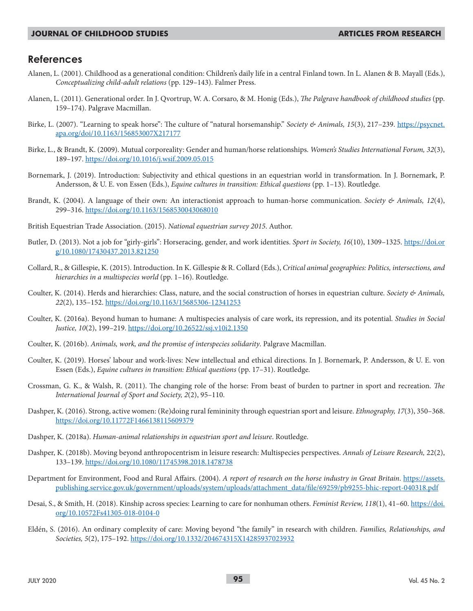## **References**

- Alanen, L. (2001). Childhood as a generational condition: Children's daily life in a central Finland town. In L. Alanen & B. Mayall (Eds.), *Conceptualizing child-adult relations* (pp. 129–143). Falmer Press.
- Alanen, L. (2011). Generational order. In J. Qvortrup, W. A. Corsaro, & M. Honig (Eds.), *The Palgrave handbook of childhood studies* (pp. 159–174). Palgrave Macmillan.
- Birke, L. (2007). "Learning to speak horse": The culture of "natural horsemanship." *Society & Animals, 15*(3), 217–239. https://psycnet. apa.org/doi/10.1163/156853007X217177
- Birke, L., & Brandt, K. (2009). Mutual corporeality: Gender and human/horse relationships. *Women's Studies International Forum, 32*(3), 189–197. https://doi.org/10.1016/j.wsif.2009.05.015
- Bornemark, J. (2019). Introduction: Subjectivity and ethical questions in an equestrian world in transformation. In J. Bornemark, P. Andersson, & U. E. von Essen (Eds.), *Equine cultures in transition: Ethical questions* (pp. 1–13). Routledge.
- Brandt, K. (2004). A language of their own: An interactionist approach to human-horse communication. *Society & Animals, 12*(4), 299–316. https://doi.org/10.1163/1568530043068010
- British Equestrian Trade Association. (2015). *National equestrian survey 2015*. Author.
- Butler, D. (2013). Not a job for "girly-girls": Horseracing, gender, and work identities. *Sport in Society, 16*(10), 1309–1325. https://doi.or g/10.1080/17430437.2013.821250
- Collard, R., & Gillespie, K. (2015). Introduction. In K. Gillespie & R. Collard (Eds.), *Critical animal geographies: Politics, intersections, and hierarchies in a multispecies world* (pp. 1–16). Routledge.
- Coulter, K. (2014). Herds and hierarchies: Class, nature, and the social construction of horses in equestrian culture. *Society & Animals, 22*(2), 135–152. https://doi.org/10.1163/15685306-12341253
- Coulter, K. (2016a). Beyond human to humane: A multispecies analysis of care work, its repression, and its potential. *Studies in Social Justice, 10*(2), 199–219. https://doi.org/10.26522/ssj.v10i2.1350
- Coulter, K. (2016b). *Animals, work, and the promise of interspecies solidarity*. Palgrave Macmillan.
- Coulter, K. (2019). Horses' labour and work-lives: New intellectual and ethical directions. In J. Bornemark, P. Andersson, & U. E. von Essen (Eds.), *Equine cultures in transition: Ethical questions* (pp. 17–31). Routledge.
- Crossman, G. K., & Walsh, R. (2011). The changing role of the horse: From beast of burden to partner in sport and recreation. *The International Journal of Sport and Society, 2*(2), 95–110.
- Dashper, K. (2016). Strong, active women: (Re)doing rural femininity through equestrian sport and leisure. *Ethnography, 17*(3), 350–368. https://doi.org/10.11772F1466138115609379
- Dashper, K. (2018a). *Human-animal relationships in equestrian sport and leisure*. Routledge.
- Dashper, K. (2018b). Moving beyond anthropocentrism in leisure research: Multispecies perspectives. *Annals of Leisure Research,* 22(2), 133–139. https://doi.org/10.1080/11745398.2018.1478738
- Department for Environment, Food and Rural Affairs. (2004). A report of research on the horse industry in Great Britain. https://assets. publishing.service.gov.uk/government/uploads/system/uploads/attachment\_data/file/69259/pb9255-bhic-report-040318.pdf
- Desai, S., & Smith, H. (2018). Kinship across species: Learning to care for nonhuman others. Feminist Review, 118(1), 41-60. https://doi. org/10.10572Fs41305-018-0104-0
- Eldén, S. (2016). An ordinary complexity of care: Moving beyond "the family" in research with children. *Families, Relationships, and Societies, 5*(2), 175–192. https://doi.org/10.1332/204674315X14285937023932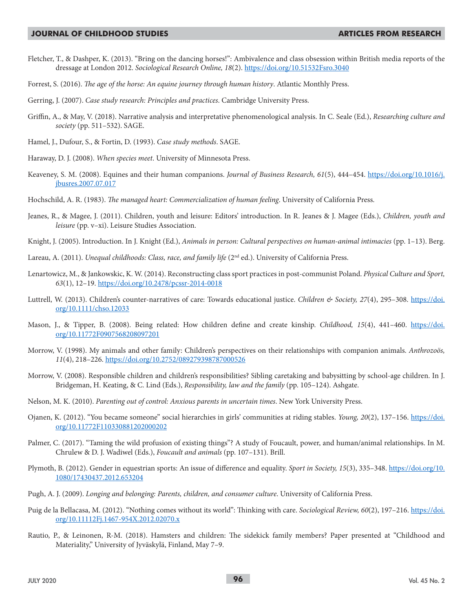- Fletcher, T., & Dashper, K. (2013). "Bring on the dancing horses!": Ambivalence and class obsession within British media reports of the dressage at London 2012. *Sociological Research Online, 18*(2). https://doi.org/10.51532Fsro.3040
- Forrest, S. (2016). *The age of the horse: An equine journey through human history*. Atlantic Monthly Press.
- Gerring, J. (2007). *Case study research: Principles and practices*. Cambridge University Press.
- Griffin, A., & May, V. (2018). Narrative analysis and interpretative phenomenological analysis. In C. Seale (Ed.), *Researching culture and society* (pp. 511–532). SAGE.
- Hamel, J., Dufour, S., & Fortin, D. (1993). *Case study methods*. SAGE.
- Haraway, D. J. (2008). *When species meet*. University of Minnesota Press.
- Keaveney, S. M. (2008). Equines and their human companions. *Journal of Business Research, 61*(5), 444–454. https://doi.org/10.1016/j. jbusres.2007.07.017
- Hochschild, A. R. (1983). *The managed heart: Commercialization of human feeling*. University of California Press.
- Jeanes, R., & Magee, J. (2011). Children, youth and leisure: Editors' introduction. In R. Jeanes & J. Magee (Eds.), *Children, youth and leisure* (pp. v–xi). Leisure Studies Association.
- Knight, J. (2005). Introduction. In J. Knight (Ed.), *Animals in person: Cultural perspectives on human-animal intimacies* (pp. 1–13). Berg.
- Lareau, A. (2011). *Unequal childhoods: Class, race, and family life* (2<sup>nd</sup> ed.). University of California Press.
- Lenartowicz, M., & Jankowskic, K. W. (2014). Reconstructing class sport practices in post-communist Poland. *Physical Culture and Sport, 63*(1), 12–19. https://doi.org/10.2478/pcssr-2014-0018
- Luttrell, W. (2013). Children's counter-narratives of care: Towards educational justice. *Children & Society, 27*(4), 295–308. https://doi. org/10.1111/chso.12033
- Mason, J., & Tipper, B. (2008). Being related: How children define and create kinship. *Childhood, 15*(4), 441–460. https://doi. org/10.11772F0907568208097201
- Morrow, V. (1998). My animals and other family: Children's perspectives on their relationships with companion animals. *Anthrozoös, 11*(4), 218–226. https://doi.org/10.2752/089279398787000526
- Morrow, V. (2008). Responsible children and children's responsibilities? Sibling caretaking and babysitting by school-age children. In J. Bridgeman, H. Keating, & C. Lind (Eds.), *Responsibility, law and the family* (pp. 105–124). Ashgate.
- Nelson, M. K. (2010). *Parenting out of control: Anxious parents in uncertain times*. New York University Press.
- Ojanen, K. (2012). "You became someone" social hierarchies in girls' communities at riding stables. *Young, 20*(2), 137–156. https://doi. org/10.11772F110330881202000202
- Palmer, C. (2017). "Taming the wild profusion of existing things"? A study of Foucault, power, and human/animal relationships. In M. Chrulew & D. J. Wadiwel (Eds.), *Foucault and animals* (pp. 107–131). Brill.
- Plymoth, B. (2012). Gender in equestrian sports: An issue of difference and equality. *Sport in Society, 15*(3), 335–348. https://doi.org/10. 1080/17430437.2012.653204
- Pugh, A. J. (2009). *Longing and belonging: Parents, children, and consumer culture*. University of California Press.
- Puig de la Bellacasa, M. (2012). "Nothing comes without its world": Thinking with care. Sociological Review, 60(2), 197-216. https://doi. org/10.11112Fj.1467-954X.2012.02070.x
- Rautio, P., & Leinonen, R-M. (2018). Hamsters and children: The sidekick family members? Paper presented at "Childhood and Materiality," University of Jyväskylä, Finland, May 7–9.